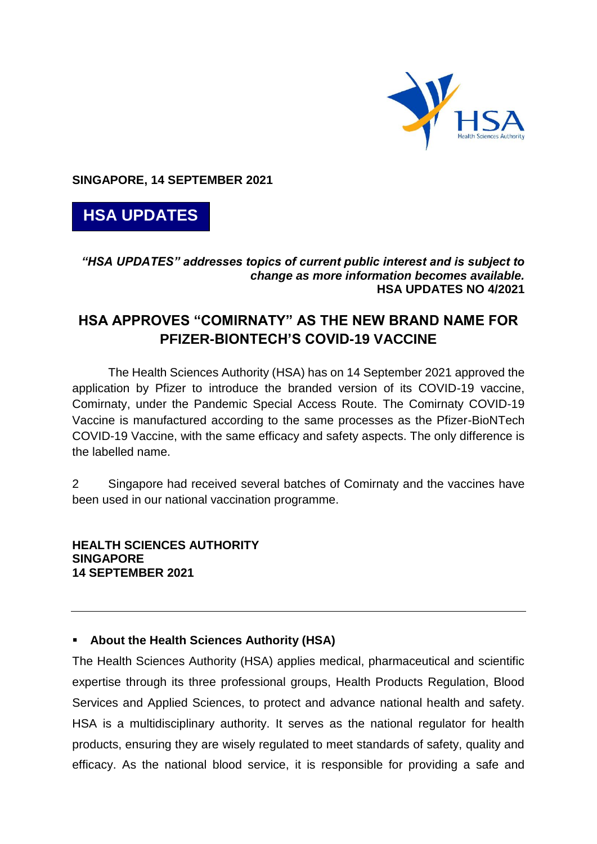

**SINGAPORE, 14 SEPTEMBER 2021**



## *"HSA UPDATES" addresses topics of current public interest and is subject to change as more information becomes available.* **HSA UPDATES NO 4/2021**

## **HSA APPROVES "COMIRNATY" AS THE NEW BRAND NAME FOR PFIZER-BIONTECH'S COVID-19 VACCINE**

The Health Sciences Authority (HSA) has on 14 September 2021 approved the application by Pfizer to introduce the branded version of its COVID-19 vaccine, Comirnaty, under the Pandemic Special Access Route. The Comirnaty COVID-19 Vaccine is manufactured according to the same processes as the Pfizer-BioNTech COVID-19 Vaccine, with the same efficacy and safety aspects. The only difference is the labelled name.

2 Singapore had received several batches of Comirnaty and the vaccines have been used in our national vaccination programme.

**HEALTH SCIENCES AUTHORITY SINGAPORE 14 SEPTEMBER 2021**

## **About the Health Sciences Authority (HSA)**

The Health Sciences Authority (HSA) applies medical, pharmaceutical and scientific expertise through its three professional groups, Health Products Regulation, Blood Services and Applied Sciences, to protect and advance national health and safety. HSA is a multidisciplinary authority. It serves as the national regulator for health products, ensuring they are wisely regulated to meet standards of safety, quality and efficacy. As the national blood service, it is responsible for providing a safe and